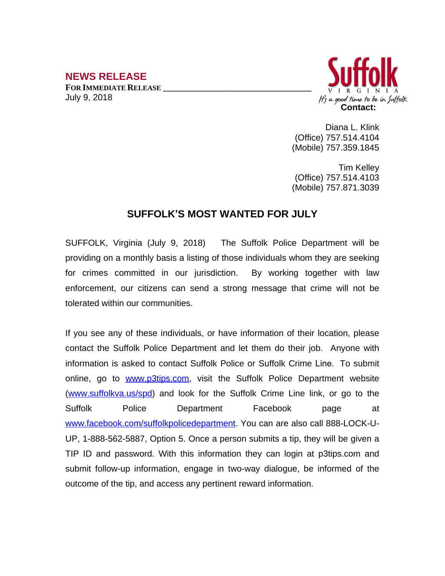## **NEWS RELEASE**

**FOR IMMEDIATE RELEASE \_\_\_\_\_\_\_\_\_\_\_\_\_\_\_\_\_\_\_\_\_\_\_\_\_\_\_\_\_\_\_\_\_\_** July 9, 2018



Diana L. Klink (Office) 757.514.4104 (Mobile) 757.359.1845

Tim Kelley (Office) 757.514.4103 (Mobile) 757.871.3039

## **SUFFOLK'S MOST WANTED FOR JULY**

SUFFOLK, Virginia (July 9, 2018) The Suffolk Police Department will be providing on a monthly basis a listing of those individuals whom they are seeking for crimes committed in our jurisdiction. By working together with law enforcement, our citizens can send a strong message that crime will not be tolerated within our communities.

If you see any of these individuals, or have information of their location, please contact the Suffolk Police Department and let them do their job. Anyone with information is asked to contact Suffolk Police or Suffolk Crime Line. To submit online, go to [www.p3tips.com](http://www.p3tips.com), visit the Suffolk Police Department website ([www.suffolkva.us/spd](http://www.suffolkva.us/spd)) and look for the Suffolk Crime Line link, or go to the Suffolk Police Department Facebook page at [www.facebook.com/suffolkpolicedepartment](http://www.facebook.com/suffolkpolicedepartment). You can are also call 888-LOCK-U-UP, 1-888-562-5887, Option 5. Once a person submits a tip, they will be given a TIP ID and password. With this information they can login at p3tips.com and submit follow-up information, engage in two-way dialogue, be informed of the outcome of the tip, and access any pertinent reward information.